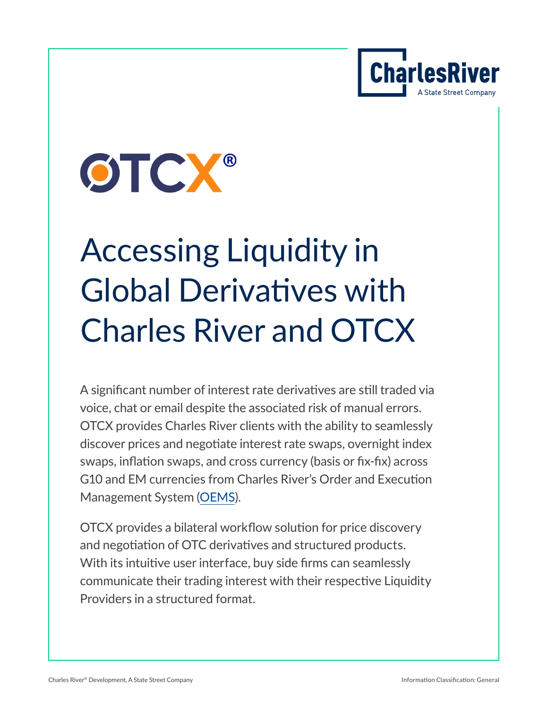



# Accessing Liquidity in Global Derivatives with Charles River and OTCX

A significant number of interest rate derivatives are still traded via voice, chat or email despite the associated risk of manual errors. OTCX provides Charles River clients with the ability to seamlessly discover prices and negotiate interest rate swaps, overnight index swaps, inflation swaps, and cross currency (basis or fix-fix) across G10 and EM currencies from Charles River's Order and Execution Management System [\(OEMS\)](https://www.crd.com/solutions/charles-river-trader).

OTCX provides a bilateral workflow solution for price discovery and negotiation of OTC derivatives and structured products. With its intuitive user interface, buy side firms can seamlessly communicate their trading interest with their respective Liquidity Providers in a structured format.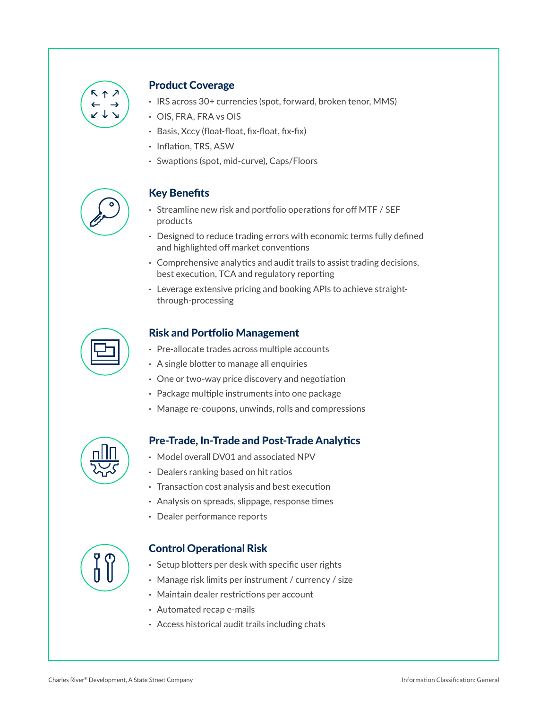

#### Product Coverage

- **·** IRS across 30+ currencies (spot, forward, broken tenor, MMS)
- **·** OIS, FRA, FRA vs OIS
- **·** Basis, Xccy (float-float, fix-float, fix-fix)
- **·** Inflation, TRS, ASW
- **·** Swaptions (spot, mid-curve), Caps/Floors



#### Key Benefits

- **·** Streamline new risk and portfolio operations for off MTF / SEF products
- **·** Designed to reduce trading errors with economic terms fully defined and highlighted off market conventions
- **·** Comprehensive analytics and audit trails to assist trading decisions, best execution, TCA and regulatory reporting
- **·** Leverage extensive pricing and booking APIs to achieve straightthrough-processing

#### Risk and Portfolio Management

- **·** Pre-allocate trades across multiple accounts
- **·** A single blotter to manage all enquiries
- **·** One or two-way price discovery and negotiation
- **·** Package multiple instruments into one package
- **·** Manage re-coupons, unwinds, rolls and compressions



#### Pre-Trade, In-Trade and Post-Trade Analytics

- **·** Model overall DV01 and associated NPV
- **·** Dealers ranking based on hit ratios
- **·** Transaction cost analysis and best execution
- **·** Analysis on spreads, slippage, response times
- **·** Dealer performance reports



#### Control Operational Risk

- **·** Setup blotters per desk with specific user rights
- **·** Manage risk limits per instrument / currency / size
- **·** Maintain dealer restrictions per account
- **·** Automated recap e-mails
- **·** Access historical audit trails including chats